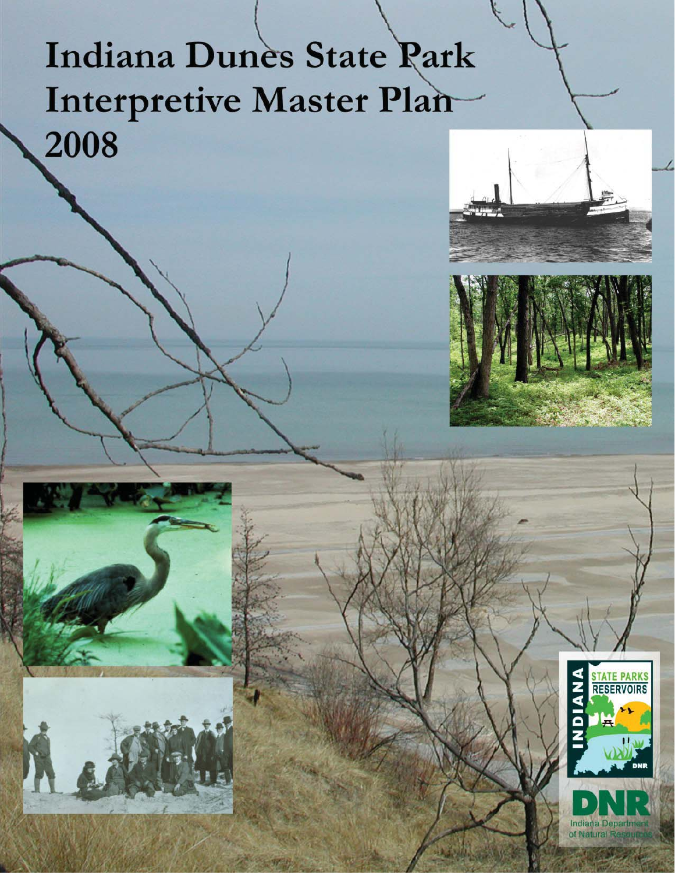# Indiana Dunes State Park Interpretive Master Plan 2008





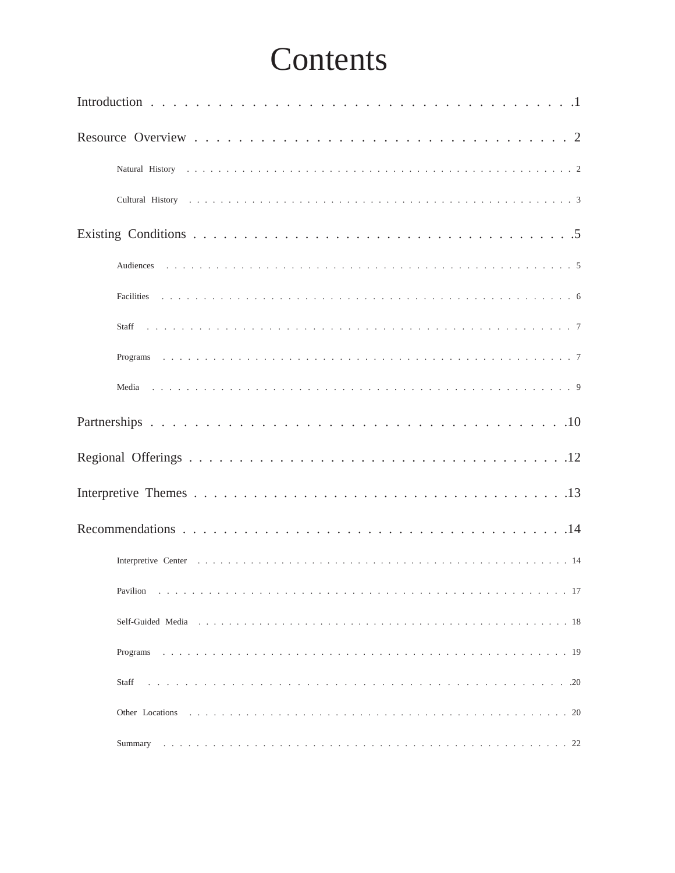# Contents

| $\cdots$<br>.17<br>Pavilion |
|-----------------------------|
|                             |
| Programs                    |
| Staff                       |
| Other Locations             |
| Summary                     |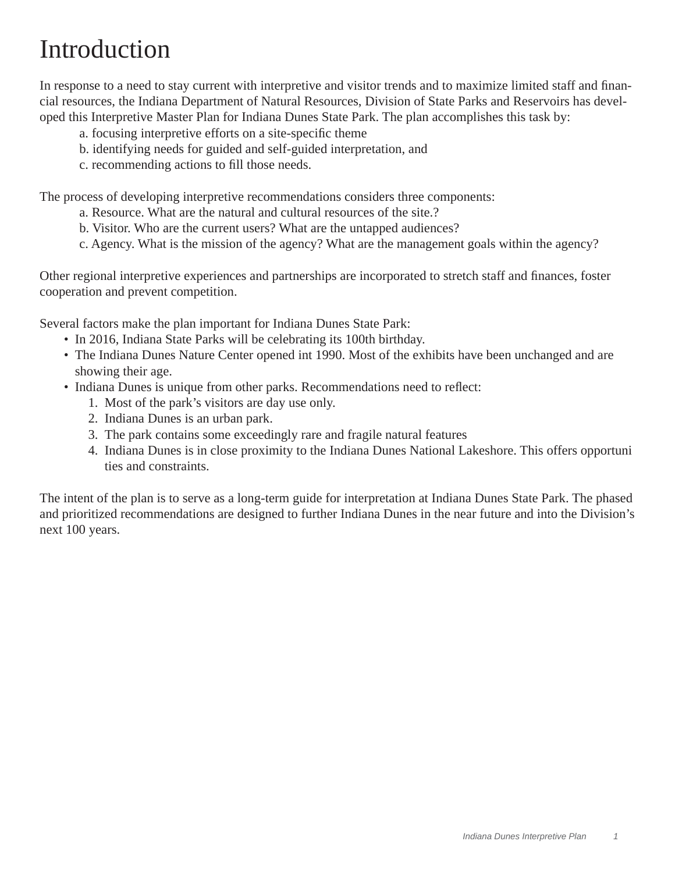# Introduction

In response to a need to stay current with interpretive and visitor trends and to maximize limited staff and financial resources, the Indiana Department of Natural Resources, Division of State Parks and Reservoirs has developed this Interpretive Master Plan for Indiana Dunes State Park. The plan accomplishes this task by:

- a. focusing interpretive efforts on a site-specific theme
- b. identifying needs for guided and self-guided interpretation, and
- c. recommending actions to fill those needs.

The process of developing interpretive recommendations considers three components:

- a. Resource. What are the natural and cultural resources of the site.?
- b. Visitor. Who are the current users? What are the untapped audiences?
- c. Agency. What is the mission of the agency? What are the management goals within the agency?

Other regional interpretive experiences and partnerships are incorporated to stretch staff and finances, foster cooperation and prevent competition.

Several factors make the plan important for Indiana Dunes State Park:

- In 2016, Indiana State Parks will be celebrating its 100th birthday.
- The Indiana Dunes Nature Center opened int 1990. Most of the exhibits have been unchanged and are showing their age.
- Indiana Dunes is unique from other parks. Recommendations need to reflect:
	- 1. Most of the park's visitors are day use only.
	- 2. Indiana Dunes is an urban park.
	- 3. The park contains some exceedingly rare and fragile natural features
	- 4. Indiana Dunes is in close proximity to the Indiana Dunes National Lakeshore. This offers opportuni ties and constraints.

The intent of the plan is to serve as a long-term guide for interpretation at Indiana Dunes State Park. The phased and prioritized recommendations are designed to further Indiana Dunes in the near future and into the Division's next 100 years.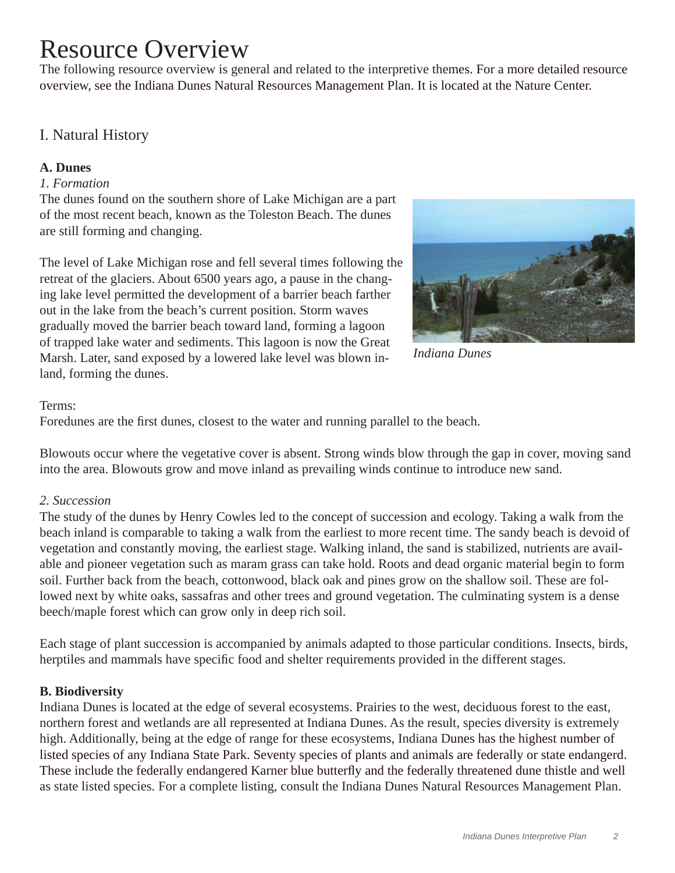# Resource Overview

The following resource overview is general and related to the interpretive themes. For a more detailed resource overview, see the Indiana Dunes Natural Resources Management Plan. It is located at the Nature Center.

# I. Natural History

### **A. Dunes**

#### *1. Formation*

The dunes found on the southern shore of Lake Michigan are a part of the most recent beach, known as the Toleston Beach. The dunes are still forming and changing.

The level of Lake Michigan rose and fell several times following the retreat of the glaciers. About 6500 years ago, a pause in the changing lake level permitted the development of a barrier beach farther out in the lake from the beach's current position. Storm waves gradually moved the barrier beach toward land, forming a lagoon of trapped lake water and sediments. This lagoon is now the Great Marsh. Later, sand exposed by a lowered lake level was blown inland, forming the dunes.



#### *Indiana Dunes*

#### Terms:

Foredunes are the first dunes, closest to the water and running parallel to the beach.

Blowouts occur where the vegetative cover is absent. Strong winds blow through the gap in cover, moving sand into the area. Blowouts grow and move inland as prevailing winds continue to introduce new sand.

#### *2. Succession*

The study of the dunes by Henry Cowles led to the concept of succession and ecology. Taking a walk from the beach inland is comparable to taking a walk from the earliest to more recent time. The sandy beach is devoid of vegetation and constantly moving, the earliest stage. Walking inland, the sand is stabilized, nutrients are available and pioneer vegetation such as maram grass can take hold. Roots and dead organic material begin to form soil. Further back from the beach, cottonwood, black oak and pines grow on the shallow soil. These are followed next by white oaks, sassafras and other trees and ground vegetation. The culminating system is a dense beech/maple forest which can grow only in deep rich soil.

Each stage of plant succession is accompanied by animals adapted to those particular conditions. Insects, birds, herptiles and mammals have specific food and shelter requirements provided in the different stages.

# **B. Biodiversity**

Indiana Dunes is located at the edge of several ecosystems. Prairies to the west, deciduous forest to the east, northern forest and wetlands are all represented at Indiana Dunes. As the result, species diversity is extremely high. Additionally, being at the edge of range for these ecosystems, Indiana Dunes has the highest number of listed species of any Indiana State Park. Seventy species of plants and animals are federally or state endangerd. These include the federally endangered Karner blue butterfly and the federally threatened dune thistle and well as state listed species. For a complete listing, consult the Indiana Dunes Natural Resources Management Plan.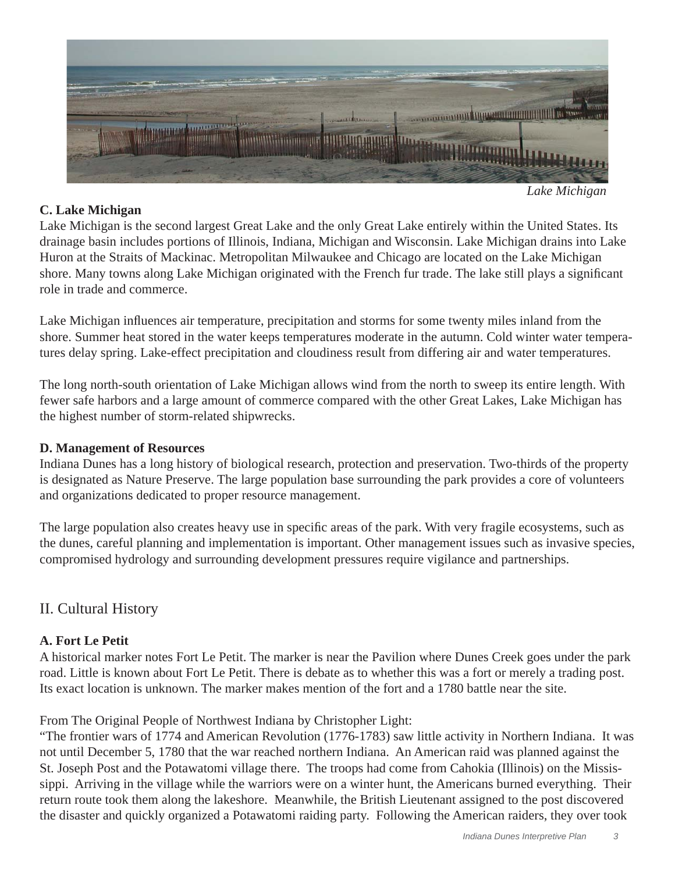

*Lake Michigan*

# **C. Lake Michigan**

Lake Michigan is the second largest Great Lake and the only Great Lake entirely within the United States. Its drainage basin includes portions of Illinois, Indiana, Michigan and Wisconsin. Lake Michigan drains into Lake Huron at the Straits of Mackinac. Metropolitan Milwaukee and Chicago are located on the Lake Michigan shore. Many towns along Lake Michigan originated with the French fur trade. The lake still plays a significant role in trade and commerce.

Lake Michigan influences air temperature, precipitation and storms for some twenty miles inland from the shore. Summer heat stored in the water keeps temperatures moderate in the autumn. Cold winter water temperatures delay spring. Lake-effect precipitation and cloudiness result from differing air and water temperatures.

The long north-south orientation of Lake Michigan allows wind from the north to sweep its entire length. With fewer safe harbors and a large amount of commerce compared with the other Great Lakes, Lake Michigan has the highest number of storm-related shipwrecks.

# **D. Management of Resources**

Indiana Dunes has a long history of biological research, protection and preservation. Two-thirds of the property is designated as Nature Preserve. The large population base surrounding the park provides a core of volunteers and organizations dedicated to proper resource management.

The large population also creates heavy use in specific areas of the park. With very fragile ecosystems, such as the dunes, careful planning and implementation is important. Other management issues such as invasive species, compromised hydrology and surrounding development pressures require vigilance and partnerships.

# II. Cultural History

# **A. Fort Le Petit**

A historical marker notes Fort Le Petit. The marker is near the Pavilion where Dunes Creek goes under the park road. Little is known about Fort Le Petit. There is debate as to whether this was a fort or merely a trading post. Its exact location is unknown. The marker makes mention of the fort and a 1780 battle near the site.

From The Original People of Northwest Indiana by Christopher Light:

"The frontier wars of 1774 and American Revolution (1776-1783) saw little activity in Northern Indiana. It was not until December 5, 1780 that the war reached northern Indiana. An American raid was planned against the St. Joseph Post and the Potawatomi village there. The troops had come from Cahokia (Illinois) on the Mississippi. Arriving in the village while the warriors were on a winter hunt, the Americans burned everything. Their return route took them along the lakeshore. Meanwhile, the British Lieutenant assigned to the post discovered the disaster and quickly organized a Potawatomi raiding party. Following the American raiders, they over took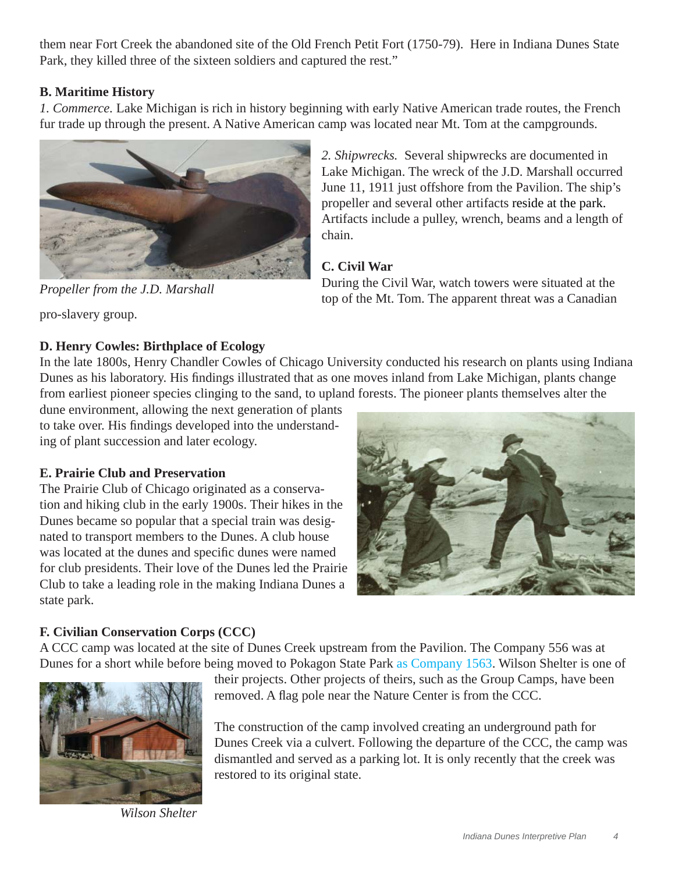them near Fort Creek the abandoned site of the Old French Petit Fort (1750-79). Here in Indiana Dunes State Park, they killed three of the sixteen soldiers and captured the rest."

# **B. Maritime History**

*1. Commerce.* Lake Michigan is rich in history beginning with early Native American trade routes, the French fur trade up through the present. A Native American camp was located near Mt. Tom at the campgrounds.



*2. Shipwrecks.* Several shipwrecks are documented in Lake Michigan. The wreck of the J.D. Marshall occurred June 11, 1911 just offshore from the Pavilion. The ship's propeller and several other artifacts reside at the park. Artifacts include a pulley, wrench, beams and a length of chain.

# **C. Civil War**

During the Civil War, watch towers were situated at the top of the Mt. Tom. The apparent threat was a Canadian

pro-slavery group.

# **D. Henry Cowles: Birthplace of Ecology**

*Propeller from the J.D. Marshall*

In the late 1800s, Henry Chandler Cowles of Chicago University conducted his research on plants using Indiana Dunes as his laboratory. His findings illustrated that as one moves inland from Lake Michigan, plants change from earliest pioneer species clinging to the sand, to upland forests. The pioneer plants themselves alter the

dune environment, allowing the next generation of plants to take over. His findings developed into the understanding of plant succession and later ecology.

# **E. Prairie Club and Preservation**

The Prairie Club of Chicago originated as a conservation and hiking club in the early 1900s. Their hikes in the Dunes became so popular that a special train was designated to transport members to the Dunes. A club house was located at the dunes and specific dunes were named for club presidents. Their love of the Dunes led the Prairie Club to take a leading role in the making Indiana Dunes a state park.



# **F. Civilian Conservation Corps (CCC)**

A CCC camp was located at the site of Dunes Creek upstream from the Pavilion. The Company 556 was at Dunes for a short while before being moved to Pokagon State Park as Company 1563. Wilson Shelter is one of



*Wilson Shelter*

their projects. Other projects of theirs, such as the Group Camps, have been removed. A flag pole near the Nature Center is from the CCC.

The construction of the camp involved creating an underground path for Dunes Creek via a culvert. Following the departure of the CCC, the camp was dismantled and served as a parking lot. It is only recently that the creek was restored to its original state.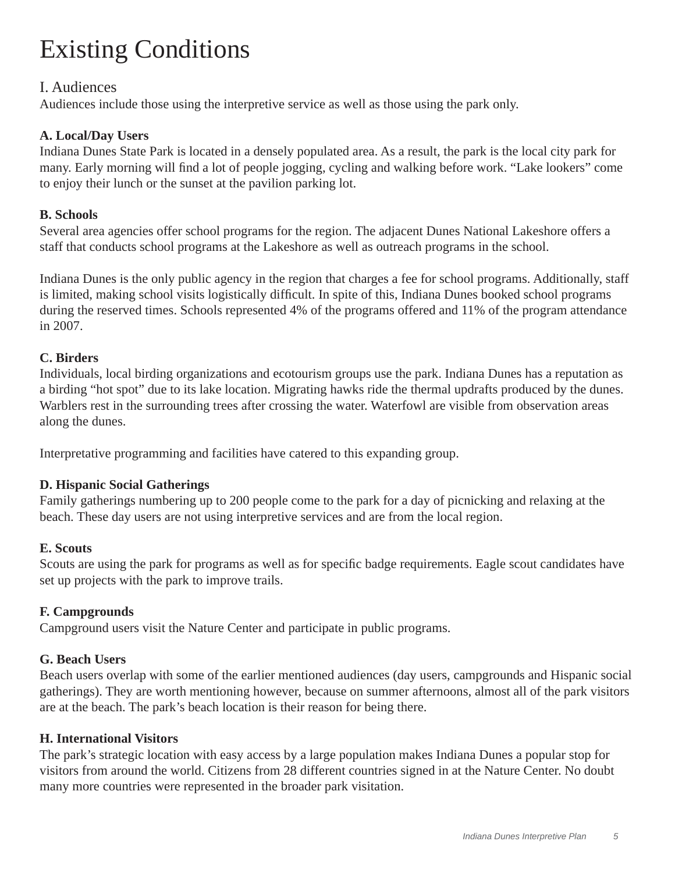# Existing Conditions

# I. Audiences

Audiences include those using the interpretive service as well as those using the park only.

#### **A. Local/Day Users**

Indiana Dunes State Park is located in a densely populated area. As a result, the park is the local city park for many. Early morning will find a lot of people jogging, cycling and walking before work. "Lake lookers" come to enjoy their lunch or the sunset at the pavilion parking lot.

#### **B. Schools**

Several area agencies offer school programs for the region. The adjacent Dunes National Lakeshore offers a staff that conducts school programs at the Lakeshore as well as outreach programs in the school.

Indiana Dunes is the only public agency in the region that charges a fee for school programs. Additionally, staff is limited, making school visits logistically difficult. In spite of this, Indiana Dunes booked school programs during the reserved times. Schools represented 4% of the programs offered and 11% of the program attendance in 2007.

#### **C. Birders**

Individuals, local birding organizations and ecotourism groups use the park. Indiana Dunes has a reputation as a birding "hot spot" due to its lake location. Migrating hawks ride the thermal updrafts produced by the dunes. Warblers rest in the surrounding trees after crossing the water. Waterfowl are visible from observation areas along the dunes.

Interpretative programming and facilities have catered to this expanding group.

#### **D. Hispanic Social Gatherings**

Family gatherings numbering up to 200 people come to the park for a day of picnicking and relaxing at the beach. These day users are not using interpretive services and are from the local region.

#### **E. Scouts**

Scouts are using the park for programs as well as for specific badge requirements. Eagle scout candidates have set up projects with the park to improve trails.

#### **F. Campgrounds**

Campground users visit the Nature Center and participate in public programs.

#### **G. Beach Users**

Beach users overlap with some of the earlier mentioned audiences (day users, campgrounds and Hispanic social gatherings). They are worth mentioning however, because on summer afternoons, almost all of the park visitors are at the beach. The park's beach location is their reason for being there.

#### **H. International Visitors**

The park's strategic location with easy access by a large population makes Indiana Dunes a popular stop for visitors from around the world. Citizens from 28 different countries signed in at the Nature Center. No doubt many more countries were represented in the broader park visitation.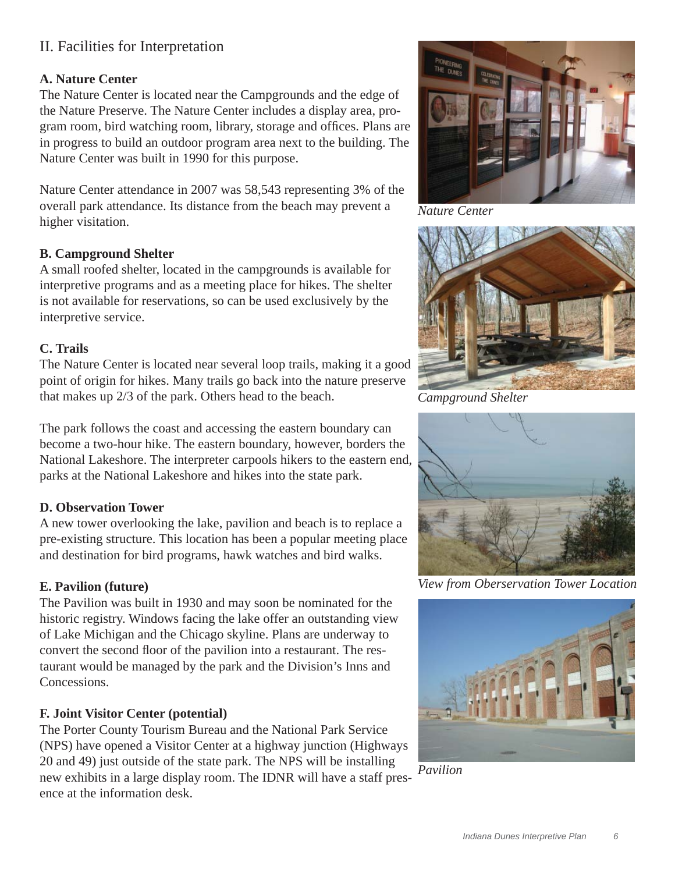# II. Facilities for Interpretation

# **A. Nature Center**

The Nature Center is located near the Campgrounds and the edge of the Nature Preserve. The Nature Center includes a display area, program room, bird watching room, library, storage and offices. Plans are in progress to build an outdoor program area next to the building. The Nature Center was built in 1990 for this purpose.

Nature Center attendance in 2007 was 58,543 representing 3% of the overall park attendance. Its distance from the beach may prevent a higher visitation.

#### **B. Campground Shelter**

A small roofed shelter, located in the campgrounds is available for interpretive programs and as a meeting place for hikes. The shelter is not available for reservations, so can be used exclusively by the interpretive service.

#### **C. Trails**

The Nature Center is located near several loop trails, making it a good point of origin for hikes. Many trails go back into the nature preserve that makes up 2/3 of the park. Others head to the beach.

The park follows the coast and accessing the eastern boundary can become a two-hour hike. The eastern boundary, however, borders the National Lakeshore. The interpreter carpools hikers to the eastern end, parks at the National Lakeshore and hikes into the state park.

# **D. Observation Tower**

A new tower overlooking the lake, pavilion and beach is to replace a pre-existing structure. This location has been a popular meeting place and destination for bird programs, hawk watches and bird walks.

#### **E. Pavilion (future)**

The Pavilion was built in 1930 and may soon be nominated for the historic registry. Windows facing the lake offer an outstanding view of Lake Michigan and the Chicago skyline. Plans are underway to convert the second floor of the pavilion into a restaurant. The restaurant would be managed by the park and the Division's Inns and Concessions.

#### **F. Joint Visitor Center (potential)**

The Porter County Tourism Bureau and the National Park Service (NPS) have opened a Visitor Center at a highway junction (Highways 20 and 49) just outside of the state park. The NPS will be installing new exhibits in a large display room. The IDNR will have a staff presence at the information desk.



*Nature Center*



*Campground Shelter*



*View from Oberservation Tower Location*



*Pavilion*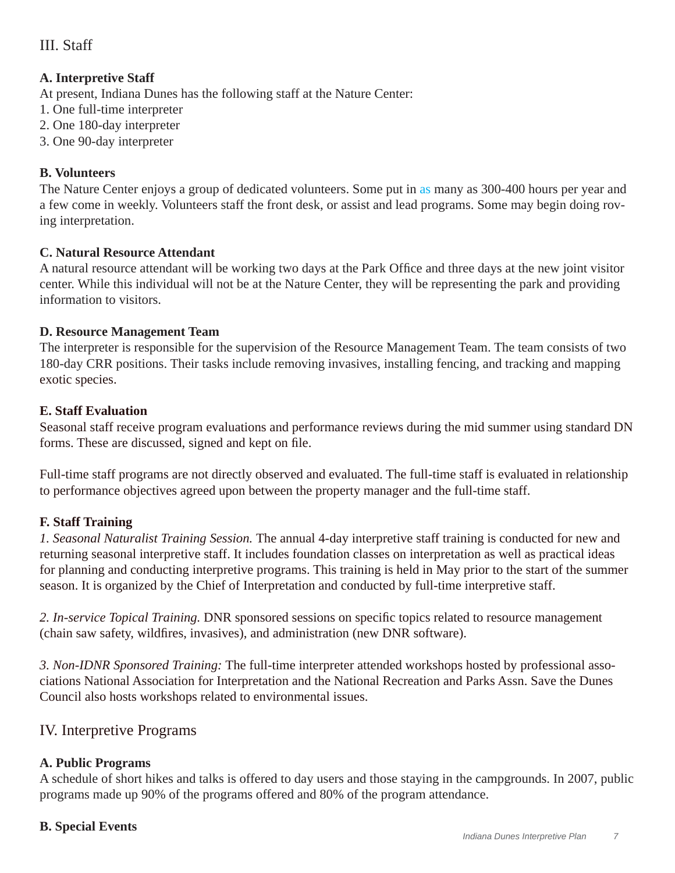# III. Staff

# **A. Interpretive Staff**

At present, Indiana Dunes has the following staff at the Nature Center:

- 1. One full-time interpreter
- 2. One 180-day interpreter
- 3. One 90-day interpreter

# **B. Volunteers**

The Nature Center enjoys a group of dedicated volunteers. Some put in as many as 300-400 hours per year and a few come in weekly. Volunteers staff the front desk, or assist and lead programs. Some may begin doing roving interpretation.

#### **C. Natural Resource Attendant**

A natural resource attendant will be working two days at the Park Office and three days at the new joint visitor center. While this individual will not be at the Nature Center, they will be representing the park and providing information to visitors.

#### **D. Resource Management Team**

The interpreter is responsible for the supervision of the Resource Management Team. The team consists of two 180-day CRR positions. Their tasks include removing invasives, installing fencing, and tracking and mapping exotic species.

# **E. Staff Evaluation**

Seasonal staff receive program evaluations and performance reviews during the mid summer using standard DN forms. These are discussed, signed and kept on file.

Full-time staff programs are not directly observed and evaluated. The full-time staff is evaluated in relationship to performance objectives agreed upon between the property manager and the full-time staff.

# **F. Staff Training**

*1. Seasonal Naturalist Training Session.* The annual 4-day interpretive staff training is conducted for new and returning seasonal interpretive staff. It includes foundation classes on interpretation as well as practical ideas for planning and conducting interpretive programs. This training is held in May prior to the start of the summer season. It is organized by the Chief of Interpretation and conducted by full-time interpretive staff.

2. In-service Topical Training. DNR sponsored sessions on specific topics related to resource management (chain saw safety, wildfires, invasives), and administration (new DNR software).

*3. Non-IDNR Sponsored Training:* The full-time interpreter attended workshops hosted by professional associations National Association for Interpretation and the National Recreation and Parks Assn. Save the Dunes Council also hosts workshops related to environmental issues.

# IV. Interpretive Programs

# **A. Public Programs**

A schedule of short hikes and talks is offered to day users and those staying in the campgrounds. In 2007, public programs made up 90% of the programs offered and 80% of the program attendance.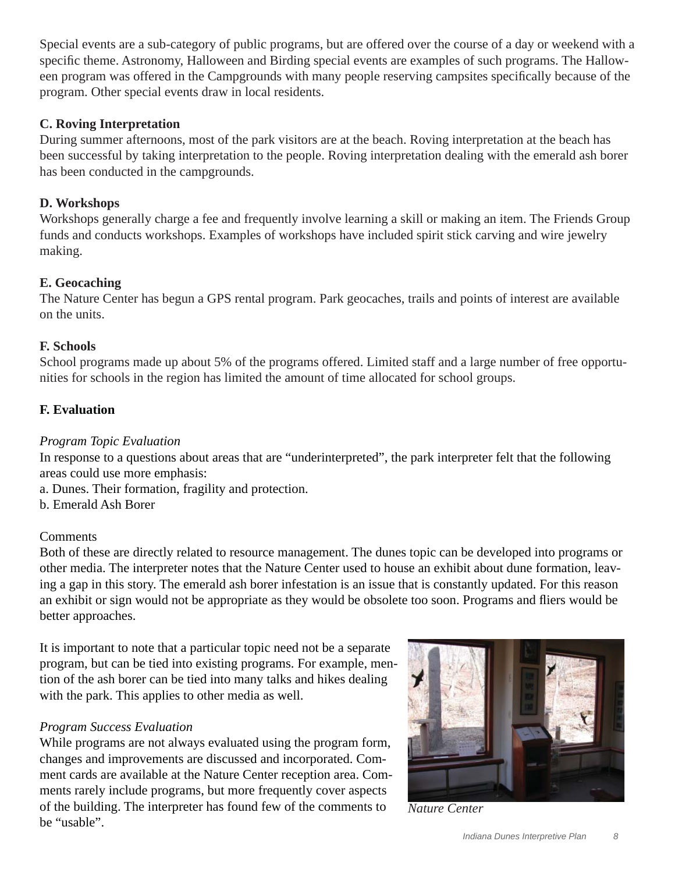Special events are a sub-category of public programs, but are offered over the course of a day or weekend with a specific theme. Astronomy, Halloween and Birding special events are examples of such programs. The Halloween program was offered in the Campgrounds with many people reserving campsites specifically because of the program. Other special events draw in local residents.

### **C. Roving Interpretation**

During summer afternoons, most of the park visitors are at the beach. Roving interpretation at the beach has been successful by taking interpretation to the people. Roving interpretation dealing with the emerald ash borer has been conducted in the campgrounds.

### **D. Workshops**

Workshops generally charge a fee and frequently involve learning a skill or making an item. The Friends Group funds and conducts workshops. Examples of workshops have included spirit stick carving and wire jewelry making.

# **E. Geocaching**

The Nature Center has begun a GPS rental program. Park geocaches, trails and points of interest are available on the units.

#### **F. Schools**

School programs made up about 5% of the programs offered. Limited staff and a large number of free opportunities for schools in the region has limited the amount of time allocated for school groups.

# **F. Evaluation**

#### *Program Topic Evaluation*

In response to a questions about areas that are "underinterpreted", the park interpreter felt that the following areas could use more emphasis:

a. Dunes. Their formation, fragility and protection.

b. Emerald Ash Borer

#### **Comments**

Both of these are directly related to resource management. The dunes topic can be developed into programs or other media. The interpreter notes that the Nature Center used to house an exhibit about dune formation, leaving a gap in this story. The emerald ash borer infestation is an issue that is constantly updated. For this reason an exhibit or sign would not be appropriate as they would be obsolete too soon. Programs and fliers would be better approaches.

It is important to note that a particular topic need not be a separate program, but can be tied into existing programs. For example, mention of the ash borer can be tied into many talks and hikes dealing with the park. This applies to other media as well.

#### *Program Success Evaluation*

While programs are not always evaluated using the program form, changes and improvements are discussed and incorporated. Comment cards are available at the Nature Center reception area. Comments rarely include programs, but more frequently cover aspects of the building. The interpreter has found few of the comments to be "usable".



*Nature Center*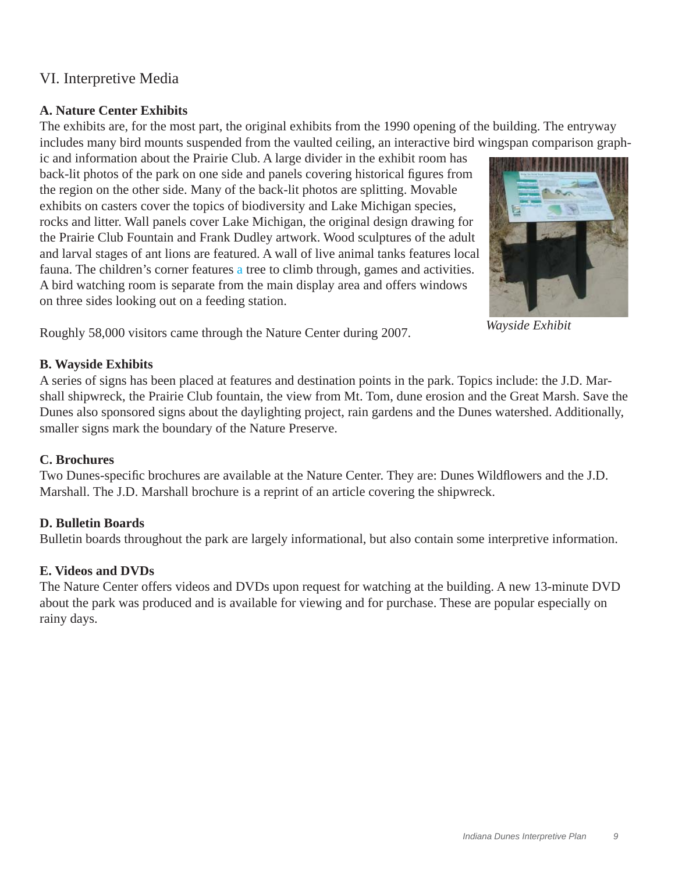# VI. Interpretive Media

# **A. Nature Center Exhibits**

The exhibits are, for the most part, the original exhibits from the 1990 opening of the building. The entryway includes many bird mounts suspended from the vaulted ceiling, an interactive bird wingspan comparison graph-

ic and information about the Prairie Club. A large divider in the exhibit room has back-lit photos of the park on one side and panels covering historical figures from the region on the other side. Many of the back-lit photos are splitting. Movable exhibits on casters cover the topics of biodiversity and Lake Michigan species, rocks and litter. Wall panels cover Lake Michigan, the original design drawing for the Prairie Club Fountain and Frank Dudley artwork. Wood sculptures of the adult and larval stages of ant lions are featured. A wall of live animal tanks features local fauna. The children's corner features a tree to climb through, games and activities. A bird watching room is separate from the main display area and offers windows on three sides looking out on a feeding station.



*Wayside Exhibit*

Roughly 58,000 visitors came through the Nature Center during 2007.

# **B. Wayside Exhibits**

A series of signs has been placed at features and destination points in the park. Topics include: the J.D. Marshall shipwreck, the Prairie Club fountain, the view from Mt. Tom, dune erosion and the Great Marsh. Save the Dunes also sponsored signs about the daylighting project, rain gardens and the Dunes watershed. Additionally, smaller signs mark the boundary of the Nature Preserve.

# **C. Brochures**

Two Dunes-specific brochures are available at the Nature Center. They are: Dunes Wildflowers and the J.D. Marshall. The J.D. Marshall brochure is a reprint of an article covering the shipwreck.

# **D. Bulletin Boards**

Bulletin boards throughout the park are largely informational, but also contain some interpretive information.

# **E. Videos and DVDs**

The Nature Center offers videos and DVDs upon request for watching at the building. A new 13-minute DVD about the park was produced and is available for viewing and for purchase. These are popular especially on rainy days.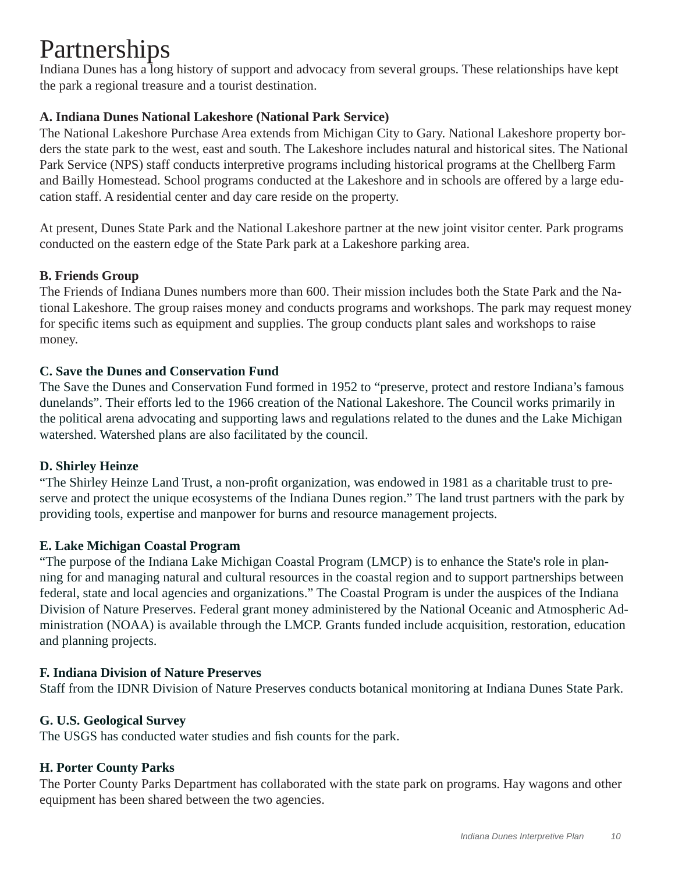# Partnerships

Indiana Dunes has a long history of support and advocacy from several groups. These relationships have kept the park a regional treasure and a tourist destination.

# **A. Indiana Dunes National Lakeshore (National Park Service)**

The National Lakeshore Purchase Area extends from Michigan City to Gary. National Lakeshore property borders the state park to the west, east and south. The Lakeshore includes natural and historical sites. The National Park Service (NPS) staff conducts interpretive programs including historical programs at the Chellberg Farm and Bailly Homestead. School programs conducted at the Lakeshore and in schools are offered by a large education staff. A residential center and day care reside on the property.

At present, Dunes State Park and the National Lakeshore partner at the new joint visitor center. Park programs conducted on the eastern edge of the State Park park at a Lakeshore parking area.

# **B. Friends Group**

The Friends of Indiana Dunes numbers more than 600. Their mission includes both the State Park and the National Lakeshore. The group raises money and conducts programs and workshops. The park may request money for specific items such as equipment and supplies. The group conducts plant sales and workshops to raise money.

# **C. Save the Dunes and Conservation Fund**

The Save the Dunes and Conservation Fund formed in 1952 to "preserve, protect and restore Indiana's famous dunelands". Their efforts led to the 1966 creation of the National Lakeshore. The Council works primarily in the political arena advocating and supporting laws and regulations related to the dunes and the Lake Michigan watershed. Watershed plans are also facilitated by the council.

# **D. Shirley Heinze**

"The Shirley Heinze Land Trust, a non-profit organization, was endowed in 1981 as a charitable trust to preserve and protect the unique ecosystems of the Indiana Dunes region." The land trust partners with the park by providing tools, expertise and manpower for burns and resource management projects.

# **E. Lake Michigan Coastal Program**

"The purpose of the Indiana Lake Michigan Coastal Program (LMCP) is to enhance the State's role in planning for and managing natural and cultural resources in the coastal region and to support partnerships between federal, state and local agencies and organizations." The Coastal Program is under the auspices of the Indiana Division of Nature Preserves. Federal grant money administered by the National Oceanic and Atmospheric Administration (NOAA) is available through the LMCP. Grants funded include acquisition, restoration, education and planning projects.

#### **F. Indiana Division of Nature Preserves**

Staff from the IDNR Division of Nature Preserves conducts botanical monitoring at Indiana Dunes State Park.

#### **G. U.S. Geological Survey**

The USGS has conducted water studies and fish counts for the park.

#### **H. Porter County Parks**

The Porter County Parks Department has collaborated with the state park on programs. Hay wagons and other equipment has been shared between the two agencies.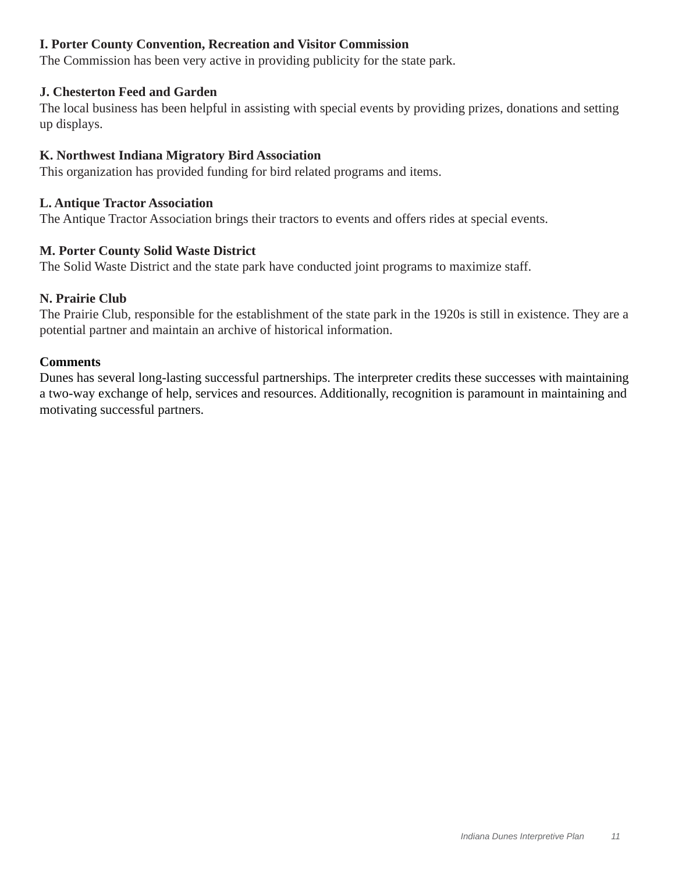#### **I. Porter County Convention, Recreation and Visitor Commission**

The Commission has been very active in providing publicity for the state park.

#### **J. Chesterton Feed and Garden**

The local business has been helpful in assisting with special events by providing prizes, donations and setting up displays.

#### **K. Northwest Indiana Migratory Bird Association**

This organization has provided funding for bird related programs and items.

#### **L. Antique Tractor Association**

The Antique Tractor Association brings their tractors to events and offers rides at special events.

#### **M. Porter County Solid Waste District**

The Solid Waste District and the state park have conducted joint programs to maximize staff.

#### **N. Prairie Club**

The Prairie Club, responsible for the establishment of the state park in the 1920s is still in existence. They are a potential partner and maintain an archive of historical information.

#### **Comments**

Dunes has several long-lasting successful partnerships. The interpreter credits these successes with maintaining a two-way exchange of help, services and resources. Additionally, recognition is paramount in maintaining and motivating successful partners.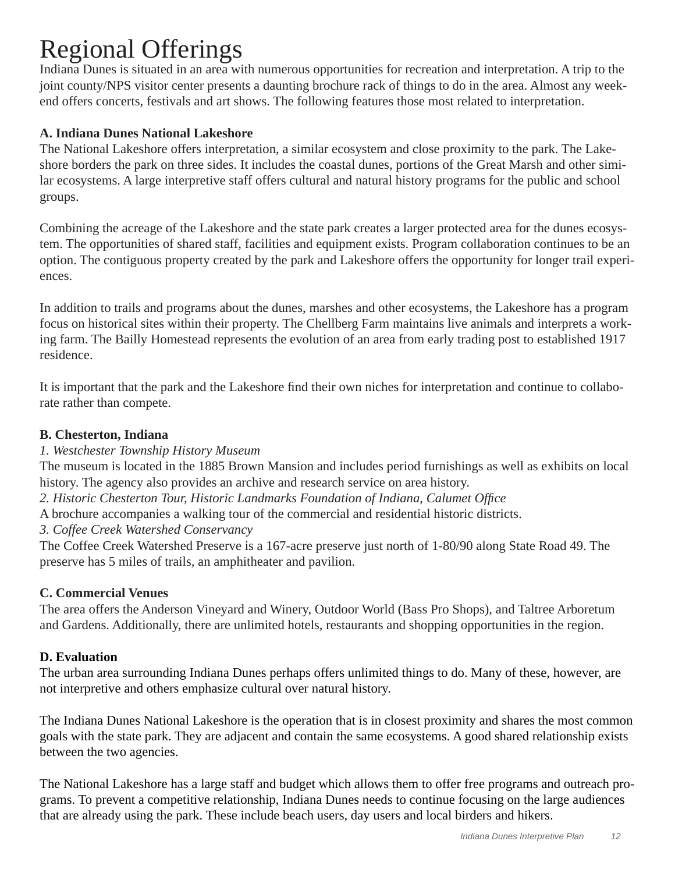# Regional Offerings

Indiana Dunes is situated in an area with numerous opportunities for recreation and interpretation. A trip to the joint county/NPS visitor center presents a daunting brochure rack of things to do in the area. Almost any weekend offers concerts, festivals and art shows. The following features those most related to interpretation.

# **A. Indiana Dunes National Lakeshore**

The National Lakeshore offers interpretation, a similar ecosystem and close proximity to the park. The Lakeshore borders the park on three sides. It includes the coastal dunes, portions of the Great Marsh and other similar ecosystems. A large interpretive staff offers cultural and natural history programs for the public and school groups.

Combining the acreage of the Lakeshore and the state park creates a larger protected area for the dunes ecosystem. The opportunities of shared staff, facilities and equipment exists. Program collaboration continues to be an option. The contiguous property created by the park and Lakeshore offers the opportunity for longer trail experiences.

In addition to trails and programs about the dunes, marshes and other ecosystems, the Lakeshore has a program focus on historical sites within their property. The Chellberg Farm maintains live animals and interprets a working farm. The Bailly Homestead represents the evolution of an area from early trading post to established 1917 residence.

It is important that the park and the Lakeshore find their own niches for interpretation and continue to collaborate rather than compete.

# **B. Chesterton, Indiana**

*1. Westchester Township History Museum*

The museum is located in the 1885 Brown Mansion and includes period furnishings as well as exhibits on local history. The agency also provides an archive and research service on area history.

- 2. Historic Chesterton Tour, Historic Landmarks Foundation of Indiana, Calumet Office
- A brochure accompanies a walking tour of the commercial and residential historic districts.
- *3. Coffee Creek Watershed Conservancy*

The Coffee Creek Watershed Preserve is a 167-acre preserve just north of 1-80/90 along State Road 49. The preserve has 5 miles of trails, an amphitheater and pavilion.

# **C. Commercial Venues**

The area offers the Anderson Vineyard and Winery, Outdoor World (Bass Pro Shops), and Taltree Arboretum and Gardens. Additionally, there are unlimited hotels, restaurants and shopping opportunities in the region.

#### **D. Evaluation**

The urban area surrounding Indiana Dunes perhaps offers unlimited things to do. Many of these, however, are not interpretive and others emphasize cultural over natural history.

The Indiana Dunes National Lakeshore is the operation that is in closest proximity and shares the most common goals with the state park. They are adjacent and contain the same ecosystems. A good shared relationship exists between the two agencies.

The National Lakeshore has a large staff and budget which allows them to offer free programs and outreach programs. To prevent a competitive relationship, Indiana Dunes needs to continue focusing on the large audiences that are already using the park. These include beach users, day users and local birders and hikers.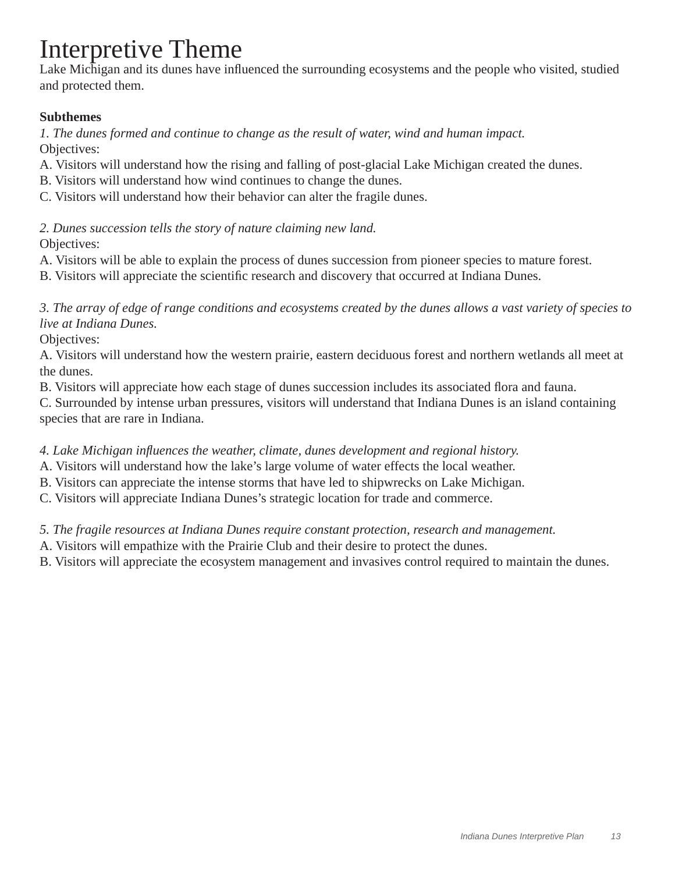# Interpretive Theme

Lake Michigan and its dunes have influenced the surrounding ecosystems and the people who visited, studied and protected them.

# **Subthemes**

*1. The dunes formed and continue to change as the result of water, wind and human impact.*  Objectives:

A. Visitors will understand how the rising and falling of post-glacial Lake Michigan created the dunes.

B. Visitors will understand how wind continues to change the dunes.

C. Visitors will understand how their behavior can alter the fragile dunes.

*2. Dunes succession tells the story of nature claiming new land.* 

Objectives:

A. Visitors will be able to explain the process of dunes succession from pioneer species to mature forest.

B. Visitors will appreciate the scientific research and discovery that occurred at Indiana Dunes.

*3. The array of edge of range conditions and ecosystems created by the dunes allows a vast variety of species to live at Indiana Dunes.* 

Objectives:

A. Visitors will understand how the western prairie, eastern deciduous forest and northern wetlands all meet at the dunes.

B. Visitors will appreciate how each stage of dunes succession includes its associated flora and fauna.

C. Surrounded by intense urban pressures, visitors will understand that Indiana Dunes is an island containing species that are rare in Indiana.

*4. Lake Michigan infl uences the weather, climate, dunes development and regional history.* 

A. Visitors will understand how the lake's large volume of water effects the local weather.

B. Visitors can appreciate the intense storms that have led to shipwrecks on Lake Michigan.

C. Visitors will appreciate Indiana Dunes's strategic location for trade and commerce.

*5. The fragile resources at Indiana Dunes require constant protection, research and management.* 

A. Visitors will empathize with the Prairie Club and their desire to protect the dunes.

B. Visitors will appreciate the ecosystem management and invasives control required to maintain the dunes.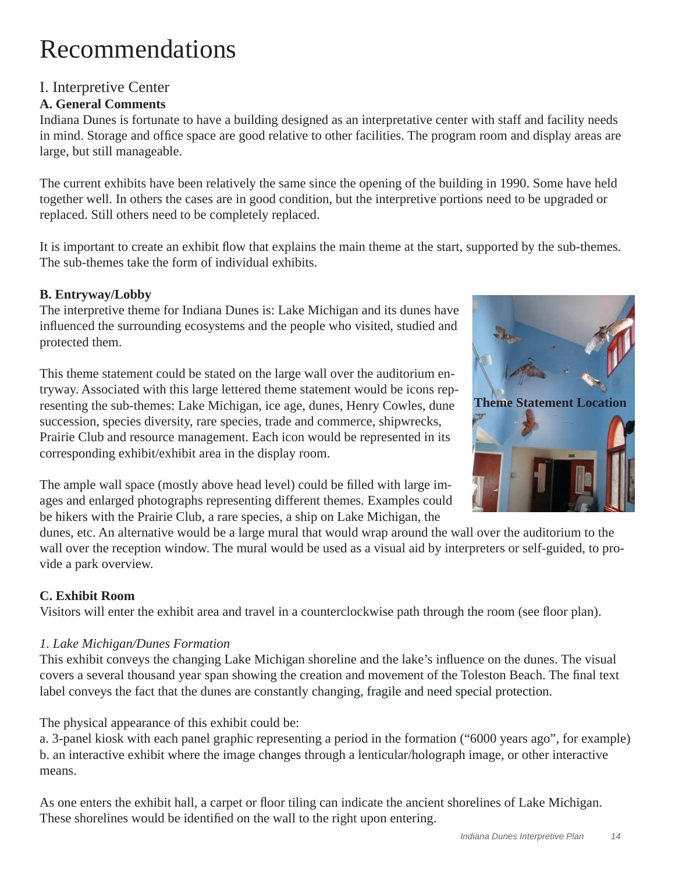# Recommendations

# I. Interpretive Center

# **A. General Comments**

Indiana Dunes is fortunate to have a building designed as an interpretative center with staff and facility needs in mind. Storage and office space are good relative to other facilities. The program room and display areas are large, but still manageable.

The current exhibits have been relatively the same since the opening of the building in 1990. Some have held together well. In others the cases are in good condition, but the interpretive portions need to be upgraded or replaced. Still others need to be completely replaced.

It is important to create an exhibit flow that explains the main theme at the start, supported by the sub-themes. The sub-themes take the form of individual exhibits.

# **B. Entryway/Lobby**

The interpretive theme for Indiana Dunes is: Lake Michigan and its dunes have influenced the surrounding ecosystems and the people who visited, studied and protected them.

This theme statement could be stated on the large wall over the auditorium entryway. Associated with this large lettered theme statement would be icons representing the sub-themes: Lake Michigan, ice age, dunes, Henry Cowles, dune succession, species diversity, rare species, trade and commerce, shipwrecks, Prairie Club and resource management. Each icon would be represented in its corresponding exhibit/exhibit area in the display room.

The ample wall space (mostly above head level) could be filled with large images and enlarged photographs representing different themes. Examples could be hikers with the Prairie Club, a rare species, a ship on Lake Michigan, the

dunes, etc. An alternative would be a large mural that would wrap around the wall over the auditorium to the wall over the reception window. The mural would be used as a visual aid by interpreters or self-guided, to provide a park overview.

# **C. Exhibit Room**

Visitors will enter the exhibit area and travel in a counterclockwise path through the room (see floor plan).

# *1. Lake Michigan/Dunes Formation*

This exhibit conveys the changing Lake Michigan shoreline and the lake's influence on the dunes. The visual covers a several thousand year span showing the creation and movement of the Toleston Beach. The final text label conveys the fact that the dunes are constantly changing, fragile and need special protection.

The physical appearance of this exhibit could be:

a. 3-panel kiosk with each panel graphic representing a period in the formation ("6000 years ago", for example) b. an interactive exhibit where the image changes through a lenticular/holograph image, or other interactive means.

As one enters the exhibit hall, a carpet or floor tiling can indicate the ancient shorelines of Lake Michigan. These shorelines would be identified on the wall to the right upon entering.

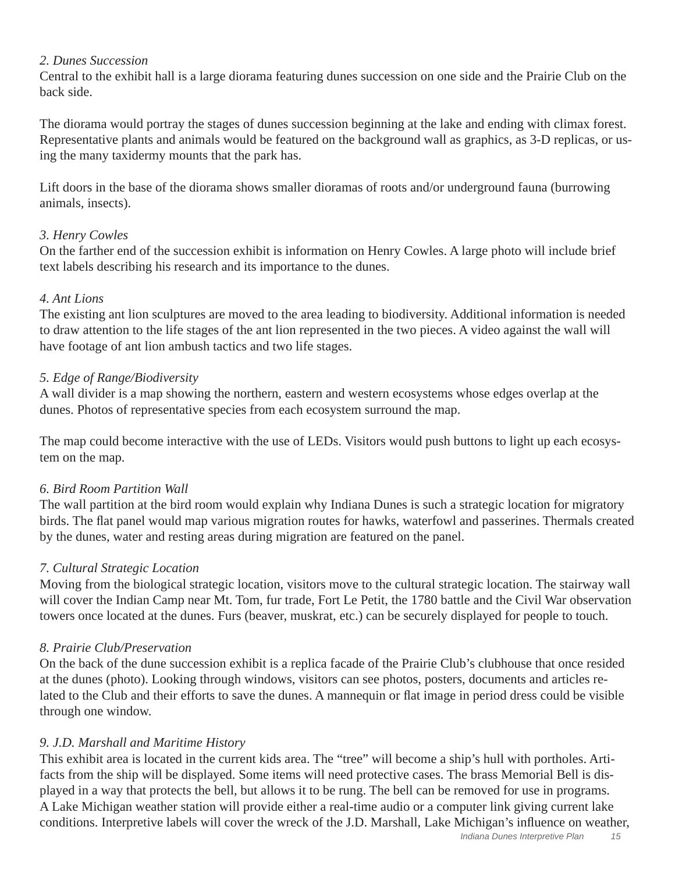#### *2. Dunes Succession*

Central to the exhibit hall is a large diorama featuring dunes succession on one side and the Prairie Club on the back side.

The diorama would portray the stages of dunes succession beginning at the lake and ending with climax forest. Representative plants and animals would be featured on the background wall as graphics, as 3-D replicas, or using the many taxidermy mounts that the park has.

Lift doors in the base of the diorama shows smaller dioramas of roots and/or underground fauna (burrowing animals, insects).

#### *3. Henry Cowles*

On the farther end of the succession exhibit is information on Henry Cowles. A large photo will include brief text labels describing his research and its importance to the dunes.

#### *4. Ant Lions*

The existing ant lion sculptures are moved to the area leading to biodiversity. Additional information is needed to draw attention to the life stages of the ant lion represented in the two pieces. A video against the wall will have footage of ant lion ambush tactics and two life stages.

#### *5. Edge of Range/Biodiversity*

A wall divider is a map showing the northern, eastern and western ecosystems whose edges overlap at the dunes. Photos of representative species from each ecosystem surround the map.

The map could become interactive with the use of LEDs. Visitors would push buttons to light up each ecosystem on the map.

#### *6. Bird Room Partition Wall*

The wall partition at the bird room would explain why Indiana Dunes is such a strategic location for migratory birds. The flat panel would map various migration routes for hawks, waterfowl and passerines. Thermals created by the dunes, water and resting areas during migration are featured on the panel.

#### *7. Cultural Strategic Location*

Moving from the biological strategic location, visitors move to the cultural strategic location. The stairway wall will cover the Indian Camp near Mt. Tom, fur trade, Fort Le Petit, the 1780 battle and the Civil War observation towers once located at the dunes. Furs (beaver, muskrat, etc.) can be securely displayed for people to touch.

#### *8. Prairie Club/Preservation*

On the back of the dune succession exhibit is a replica facade of the Prairie Club's clubhouse that once resided at the dunes (photo). Looking through windows, visitors can see photos, posters, documents and articles related to the Club and their efforts to save the dunes. A mannequin or flat image in period dress could be visible through one window.

#### *9. J.D. Marshall and Maritime History*

This exhibit area is located in the current kids area. The "tree" will become a ship's hull with portholes. Artifacts from the ship will be displayed. Some items will need protective cases. The brass Memorial Bell is displayed in a way that protects the bell, but allows it to be rung. The bell can be removed for use in programs. A Lake Michigan weather station will provide either a real-time audio or a computer link giving current lake conditions. Interpretive labels will cover the wreck of the J.D. Marshall, Lake Michigan's influence on weather,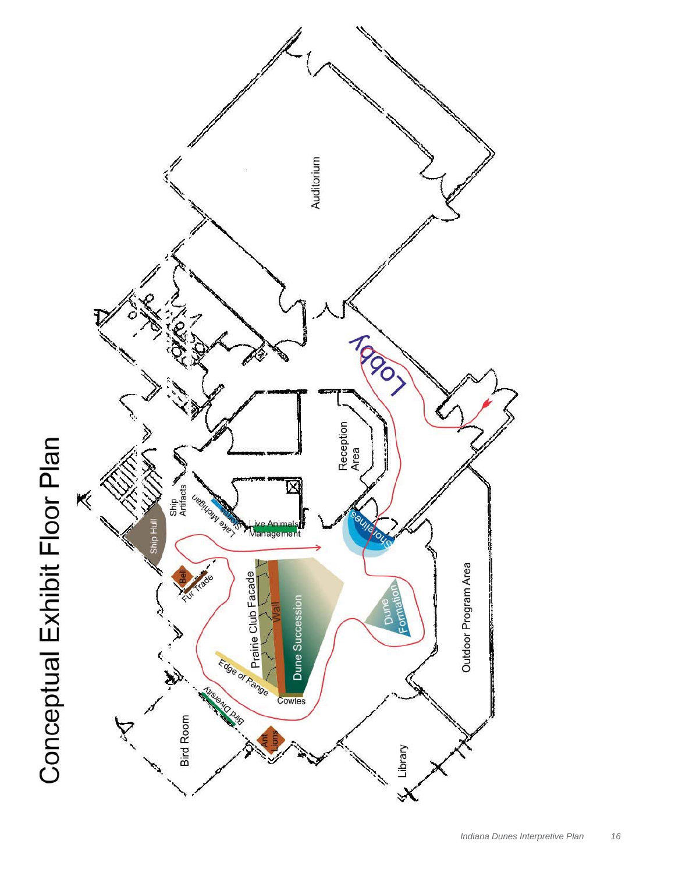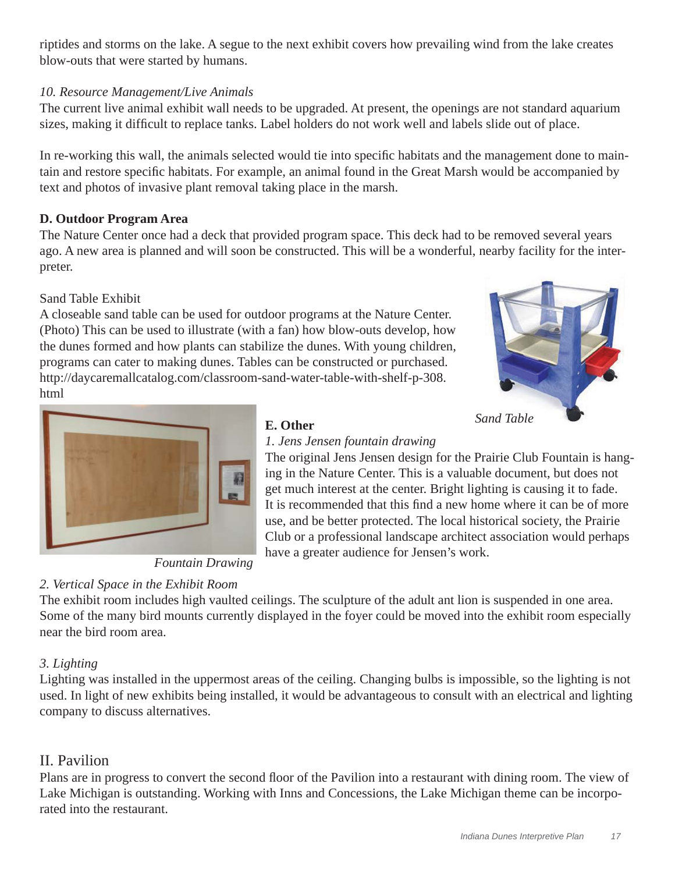riptides and storms on the lake. A segue to the next exhibit covers how prevailing wind from the lake creates blow-outs that were started by humans.

# *10. Resource Management/Live Animals*

The current live animal exhibit wall needs to be upgraded. At present, the openings are not standard aquarium sizes, making it difficult to replace tanks. Label holders do not work well and labels slide out of place.

In re-working this wall, the animals selected would tie into specific habitats and the management done to maintain and restore specific habitats. For example, an animal found in the Great Marsh would be accompanied by text and photos of invasive plant removal taking place in the marsh.

# **D. Outdoor Program Area**

The Nature Center once had a deck that provided program space. This deck had to be removed several years ago. A new area is planned and will soon be constructed. This will be a wonderful, nearby facility for the interpreter.

# Sand Table Exhibit

A closeable sand table can be used for outdoor programs at the Nature Center. (Photo) This can be used to illustrate (with a fan) how blow-outs develop, how the dunes formed and how plants can stabilize the dunes. With young children, programs can cater to making dunes. Tables can be constructed or purchased. http://daycaremallcatalog.com/classroom-sand-water-table-with-shelf-p-308. html





*Fountain Drawing*

# *2. Vertical Space in the Exhibit Room*

# **E. Other**

#### *1. Jens Jensen fountain drawing*

The original Jens Jensen design for the Prairie Club Fountain is hanging in the Nature Center. This is a valuable document, but does not get much interest at the center. Bright lighting is causing it to fade. It is recommended that this find a new home where it can be of more use, and be better protected. The local historical society, the Prairie Club or a professional landscape architect association would perhaps have a greater audience for Jensen's work.

The exhibit room includes high vaulted ceilings. The sculpture of the adult ant lion is suspended in one area. Some of the many bird mounts currently displayed in the foyer could be moved into the exhibit room especially near the bird room area.

# *3. Lighting*

Lighting was installed in the uppermost areas of the ceiling. Changing bulbs is impossible, so the lighting is not used. In light of new exhibits being installed, it would be advantageous to consult with an electrical and lighting company to discuss alternatives.

# II. Pavilion

Plans are in progress to convert the second floor of the Pavilion into a restaurant with dining room. The view of Lake Michigan is outstanding. Working with Inns and Concessions, the Lake Michigan theme can be incorporated into the restaurant.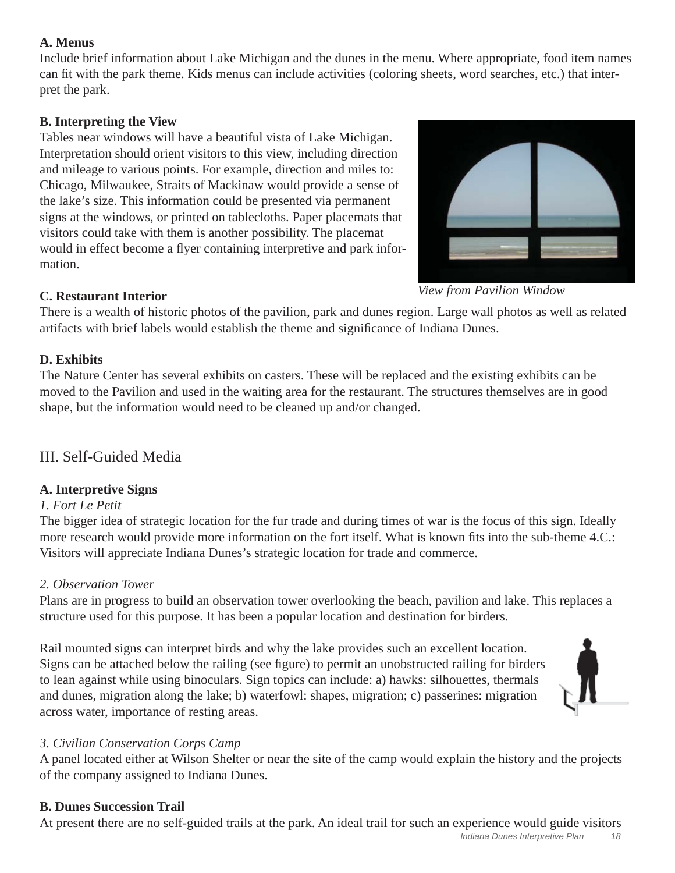# **A. Menus**

Include brief information about Lake Michigan and the dunes in the menu. Where appropriate, food item names can fit with the park theme. Kids menus can include activities (coloring sheets, word searches, etc.) that interpret the park.

# **B. Interpreting the View**

Tables near windows will have a beautiful vista of Lake Michigan. Interpretation should orient visitors to this view, including direction and mileage to various points. For example, direction and miles to: Chicago, Milwaukee, Straits of Mackinaw would provide a sense of the lake's size. This information could be presented via permanent signs at the windows, or printed on tablecloths. Paper placemats that visitors could take with them is another possibility. The placemat would in effect become a flyer containing interpretive and park information.



*View from Pavilion Window*

# **C. Restaurant Interior**

There is a wealth of historic photos of the pavilion, park and dunes region. Large wall photos as well as related artifacts with brief labels would establish the theme and significance of Indiana Dunes.

# **D. Exhibits**

The Nature Center has several exhibits on casters. These will be replaced and the existing exhibits can be moved to the Pavilion and used in the waiting area for the restaurant. The structures themselves are in good shape, but the information would need to be cleaned up and/or changed.

# III. Self-Guided Media

# **A. Interpretive Signs**

# *1. Fort Le Petit*

The bigger idea of strategic location for the fur trade and during times of war is the focus of this sign. Ideally more research would provide more information on the fort itself. What is known fits into the sub-theme 4.C.: Visitors will appreciate Indiana Dunes's strategic location for trade and commerce.

# *2. Observation Tower*

Plans are in progress to build an observation tower overlooking the beach, pavilion and lake. This replaces a structure used for this purpose. It has been a popular location and destination for birders.

Rail mounted signs can interpret birds and why the lake provides such an excellent location. Signs can be attached below the railing (see figure) to permit an unobstructed railing for birders to lean against while using binoculars. Sign topics can include: a) hawks: silhouettes, thermals and dunes, migration along the lake; b) waterfowl: shapes, migration; c) passerines: migration across water, importance of resting areas.



# *3. Civilian Conservation Corps Camp*

A panel located either at Wilson Shelter or near the site of the camp would explain the history and the projects of the company assigned to Indiana Dunes.

# **B. Dunes Succession Trail**

At present there are no self-guided trails at the park. An ideal trail for such an experience would guide visitors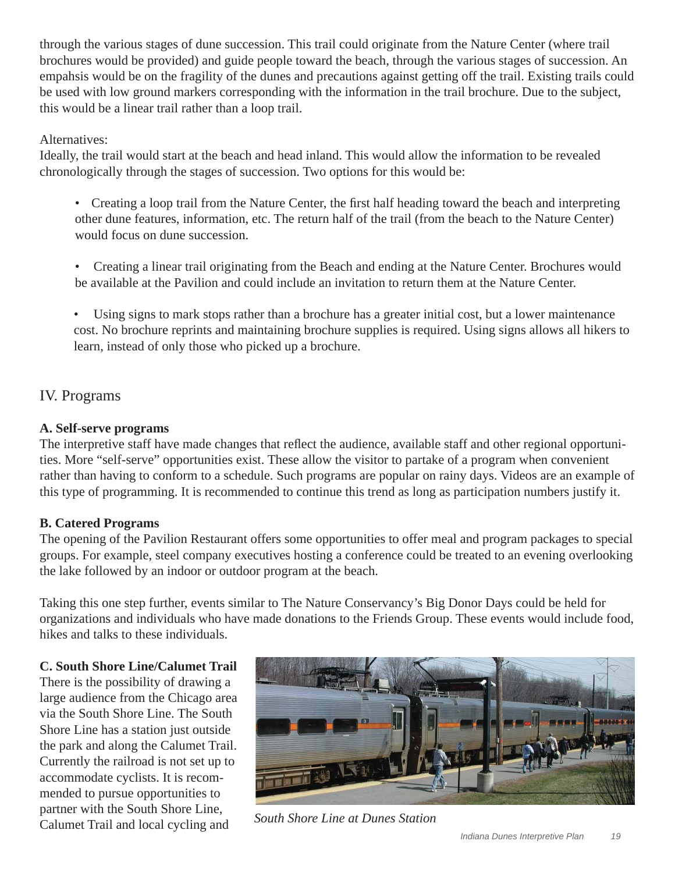through the various stages of dune succession. This trail could originate from the Nature Center (where trail brochures would be provided) and guide people toward the beach, through the various stages of succession. An empahsis would be on the fragility of the dunes and precautions against getting off the trail. Existing trails could be used with low ground markers corresponding with the information in the trail brochure. Due to the subject, this would be a linear trail rather than a loop trail.

### Alternatives:

Ideally, the trail would start at the beach and head inland. This would allow the information to be revealed chronologically through the stages of succession. Two options for this would be:

- Creating a loop trail from the Nature Center, the first half heading toward the beach and interpreting other dune features, information, etc. The return half of the trail (from the beach to the Nature Center) would focus on dune succession.
- Creating a linear trail originating from the Beach and ending at the Nature Center. Brochures would be available at the Pavilion and could include an invitation to return them at the Nature Center.
- Using signs to mark stops rather than a brochure has a greater initial cost, but a lower maintenance cost. No brochure reprints and maintaining brochure supplies is required. Using signs allows all hikers to learn, instead of only those who picked up a brochure.

# IV. Programs

#### **A. Self-serve programs**

The interpretive staff have made changes that reflect the audience, available staff and other regional opportunities. More "self-serve" opportunities exist. These allow the visitor to partake of a program when convenient rather than having to conform to a schedule. Such programs are popular on rainy days. Videos are an example of this type of programming. It is recommended to continue this trend as long as participation numbers justify it.

#### **B. Catered Programs**

The opening of the Pavilion Restaurant offers some opportunities to offer meal and program packages to special groups. For example, steel company executives hosting a conference could be treated to an evening overlooking the lake followed by an indoor or outdoor program at the beach.

Taking this one step further, events similar to The Nature Conservancy's Big Donor Days could be held for organizations and individuals who have made donations to the Friends Group. These events would include food, hikes and talks to these individuals.

#### **C. South Shore Line/Calumet Trail**

There is the possibility of drawing a large audience from the Chicago area via the South Shore Line. The South Shore Line has a station just outside the park and along the Calumet Trail. Currently the railroad is not set up to accommodate cyclists. It is recommended to pursue opportunities to partner with the South Shore Line, Calumet Trail and local cycling and *South Shore Line at Dunes Station*

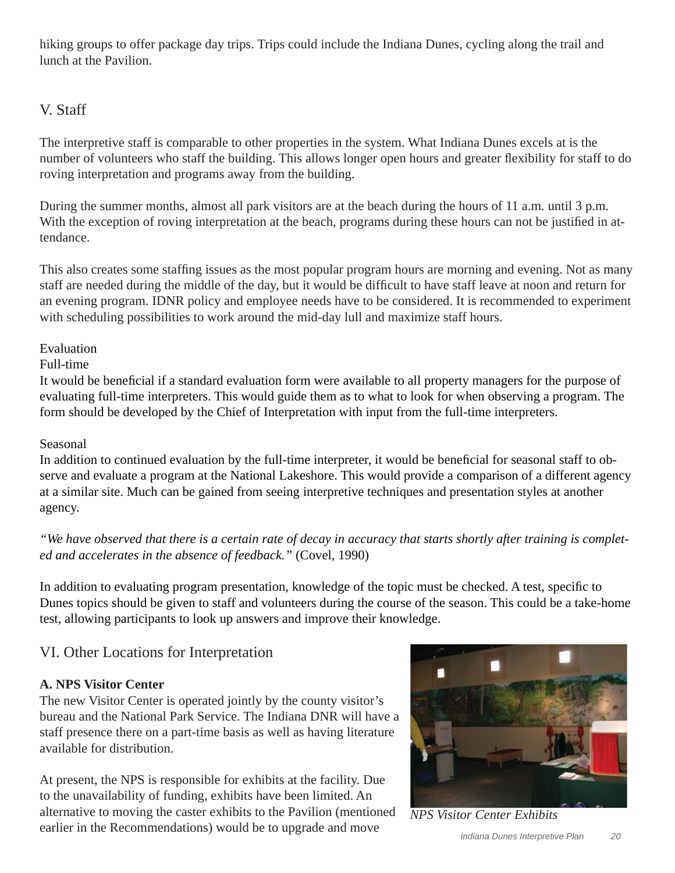hiking groups to offer package day trips. Trips could include the Indiana Dunes, cycling along the trail and lunch at the Pavilion.

# V. Staff

The interpretive staff is comparable to other properties in the system. What Indiana Dunes excels at is the number of volunteers who staff the building. This allows longer open hours and greater flexibility for staff to do roving interpretation and programs away from the building.

During the summer months, almost all park visitors are at the beach during the hours of 11 a.m. until 3 p.m. With the exception of roving interpretation at the beach, programs during these hours can not be justified in attendance.

This also creates some staffing issues as the most popular program hours are morning and evening. Not as many staff are needed during the middle of the day, but it would be difficult to have staff leave at noon and return for an evening program. IDNR policy and employee needs have to be considered. It is recommended to experiment with scheduling possibilities to work around the mid-day lull and maximize staff hours.

# Evaluation

# Full-time

It would be beneficial if a standard evaluation form were available to all property managers for the purpose of evaluating full-time interpreters. This would guide them as to what to look for when observing a program. The form should be developed by the Chief of Interpretation with input from the full-time interpreters.

# Seasonal

In addition to continued evaluation by the full-time interpreter, it would be beneficial for seasonal staff to observe and evaluate a program at the National Lakeshore. This would provide a comparison of a different agency at a similar site. Much can be gained from seeing interpretive techniques and presentation styles at another agency.

# *"We have observed that there is a certain rate of decay in accuracy that starts shortly after training is completed and accelerates in the absence of feedback."* (Covel, 1990)

In addition to evaluating program presentation, knowledge of the topic must be checked. A test, specific to Dunes topics should be given to staff and volunteers during the course of the season. This could be a take-home test, allowing participants to look up answers and improve their knowledge.

# VI. Other Locations for Interpretation

# **A. NPS Visitor Center**

The new Visitor Center is operated jointly by the county visitor's bureau and the National Park Service. The Indiana DNR will have a staff presence there on a part-time basis as well as having literature available for distribution.

At present, the NPS is responsible for exhibits at the facility. Due to the unavailability of funding, exhibits have been limited. An alternative to moving the caster exhibits to the Pavilion (mentioned earlier in the Recommendations) would be to upgrade and move



*NPS Visitor Center Exhibits*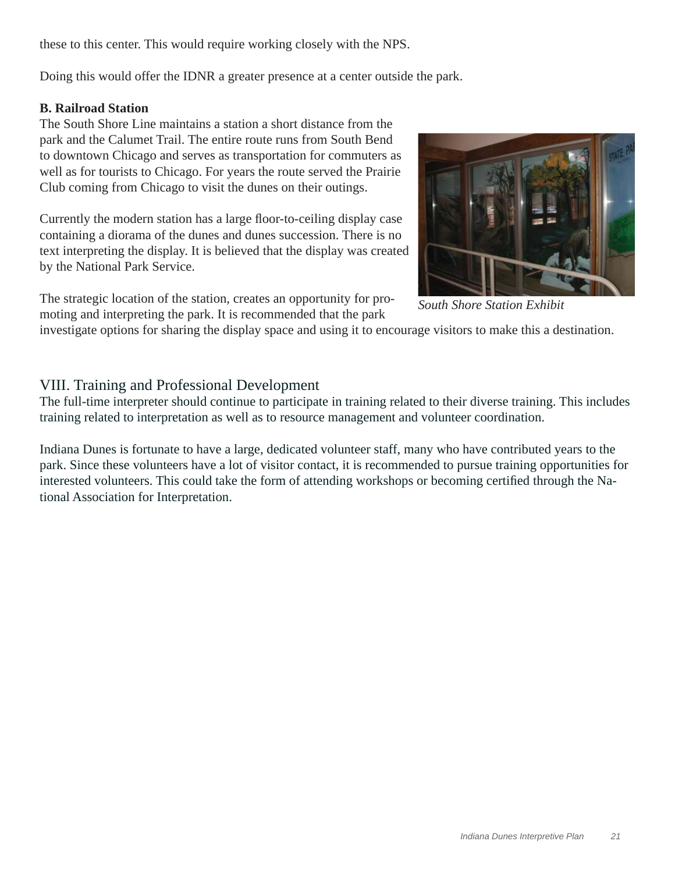these to this center. This would require working closely with the NPS.

Doing this would offer the IDNR a greater presence at a center outside the park.

#### **B. Railroad Station**

The South Shore Line maintains a station a short distance from the park and the Calumet Trail. The entire route runs from South Bend to downtown Chicago and serves as transportation for commuters as well as for tourists to Chicago. For years the route served the Prairie Club coming from Chicago to visit the dunes on their outings.

Currently the modern station has a large floor-to-ceiling display case containing a diorama of the dunes and dunes succession. There is no text interpreting the display. It is believed that the display was created by the National Park Service.

The strategic location of the station, creates an opportunity for promoting and interpreting the park. It is recommended that the park



*South Shore Station Exhibit*

investigate options for sharing the display space and using it to encourage visitors to make this a destination.

# VIII. Training and Professional Development

The full-time interpreter should continue to participate in training related to their diverse training. This includes training related to interpretation as well as to resource management and volunteer coordination.

Indiana Dunes is fortunate to have a large, dedicated volunteer staff, many who have contributed years to the park. Since these volunteers have a lot of visitor contact, it is recommended to pursue training opportunities for interested volunteers. This could take the form of attending workshops or becoming certified through the National Association for Interpretation.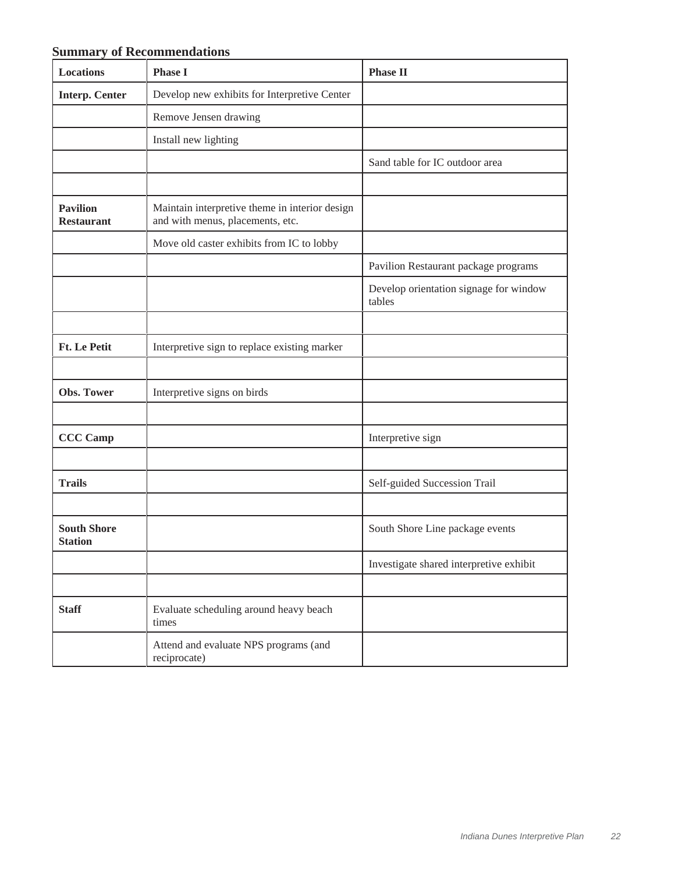# **Summary of Recommendations**

| <b>Locations</b>                     | <b>Phase I</b>                                                                     | <b>Phase II</b>                                  |
|--------------------------------------|------------------------------------------------------------------------------------|--------------------------------------------------|
| <b>Interp. Center</b>                | Develop new exhibits for Interpretive Center                                       |                                                  |
|                                      | Remove Jensen drawing                                                              |                                                  |
|                                      | Install new lighting                                                               |                                                  |
|                                      |                                                                                    | Sand table for IC outdoor area                   |
|                                      |                                                                                    |                                                  |
| <b>Pavilion</b><br><b>Restaurant</b> | Maintain interpretive theme in interior design<br>and with menus, placements, etc. |                                                  |
|                                      | Move old caster exhibits from IC to lobby                                          |                                                  |
|                                      |                                                                                    | Pavilion Restaurant package programs             |
|                                      |                                                                                    | Develop orientation signage for window<br>tables |
|                                      |                                                                                    |                                                  |
| <b>Ft. Le Petit</b>                  | Interpretive sign to replace existing marker                                       |                                                  |
|                                      |                                                                                    |                                                  |
| Obs. Tower                           | Interpretive signs on birds                                                        |                                                  |
|                                      |                                                                                    |                                                  |
| <b>CCC Camp</b>                      |                                                                                    | Interpretive sign                                |
|                                      |                                                                                    |                                                  |
| <b>Trails</b>                        |                                                                                    | Self-guided Succession Trail                     |
|                                      |                                                                                    |                                                  |
| <b>South Shore</b><br><b>Station</b> |                                                                                    | South Shore Line package events                  |
|                                      |                                                                                    | Investigate shared interpretive exhibit          |
|                                      |                                                                                    |                                                  |
| <b>Staff</b>                         | Evaluate scheduling around heavy beach<br>times                                    |                                                  |
|                                      | Attend and evaluate NPS programs (and<br>reciprocate)                              |                                                  |